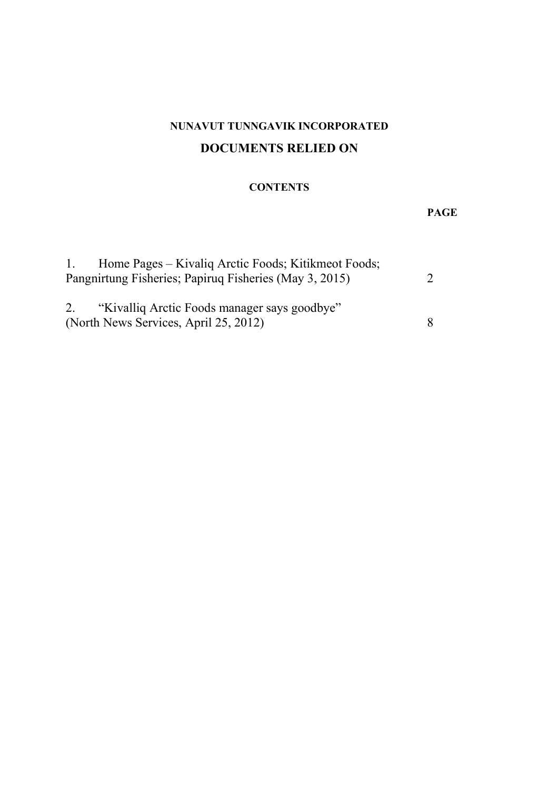# **NUNAVUT TUNNGAVIK INCORPORATED DOCUMENTS RELIED ON**

# **CONTENTS**

**PAGE**

| 1. Home Pages – Kivaliq Arctic Foods; Kitikment Foods; |  |
|--------------------------------------------------------|--|
| Pangnirtung Fisheries; Papiruq Fisheries (May 3, 2015) |  |
|                                                        |  |
| 2. "Kivalliq Arctic Foods manager says goodbye"        |  |
| (North News Services, April 25, 2012)                  |  |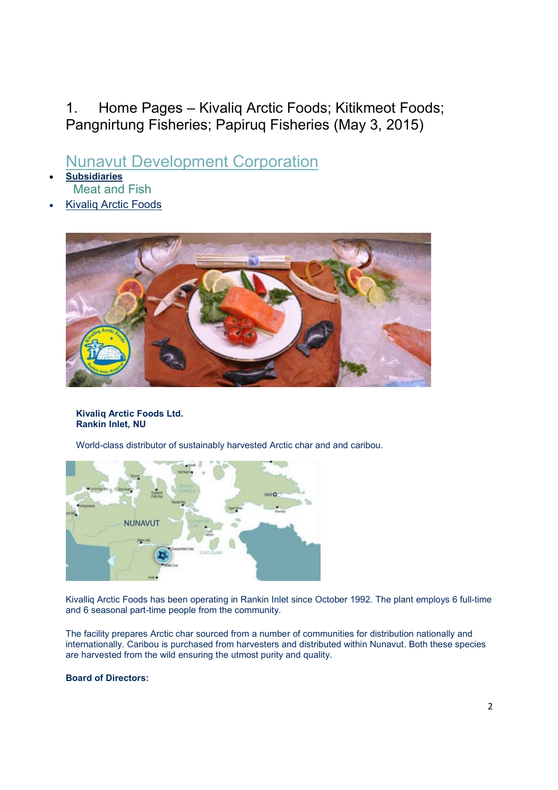1. Home Pages – Kivaliq Arctic Foods; Kitikmeot Foods; Pangnirtung Fisheries; Papiruq Fisheries (May 3, 2015)

Nunavut Development Corporation

- **Subsidiaries** Meat and Fish
- Kivaliq Arctic Foods



#### **Kivaliq Arctic Foods Ltd. Rankin Inlet, NU**

World-class distributor of sustainably harvested Arctic char and and caribou.



Kivalliq Arctic Foods has been operating in Rankin Inlet since October 1992. The plant employs 6 full-time and 6 seasonal part-time people from the community.

The facility prepares Arctic char sourced from a number of communities for distribution nationally and internationally. Caribou is purchased from harvesters and distributed within Nunavut. Both these species are harvested from the wild ensuring the utmost purity and quality.

### **Board of Directors:**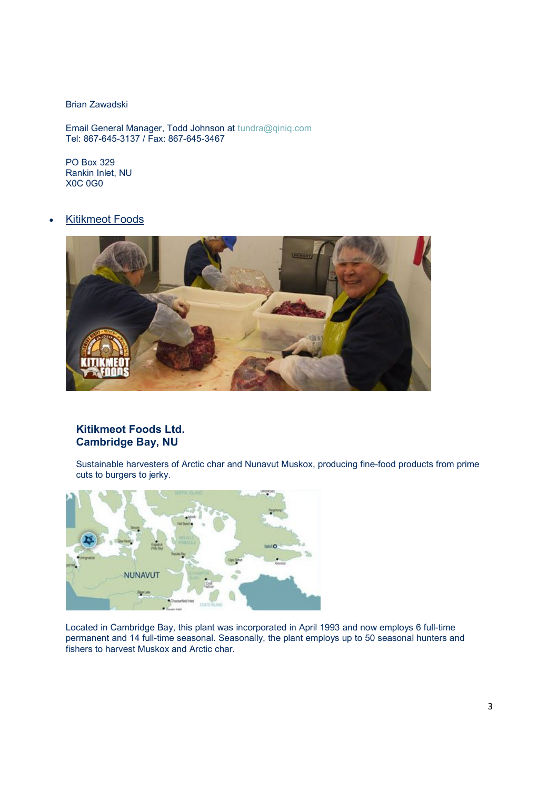Brian Zawadski

Email General Manager, Todd Johnson at tundra@qiniq.com Tel: 867-645-3137 / Fax: 867-645-3467

PO Box 329 Rankin Inlet, NU X0C 0G0

# • Kitikmeot Foods



# **Kitikmeot Foods Ltd. Cambridge Bay, NU**

Sustainable harvesters of Arctic char and Nunavut Muskox, producing fine-food products from prime cuts to burgers to jerky.



Located in Cambridge Bay, this plant was incorporated in April 1993 and now employs 6 full-time permanent and 14 full-time seasonal. Seasonally, the plant employs up to 50 seasonal hunters and fishers to harvest Muskox and Arctic char.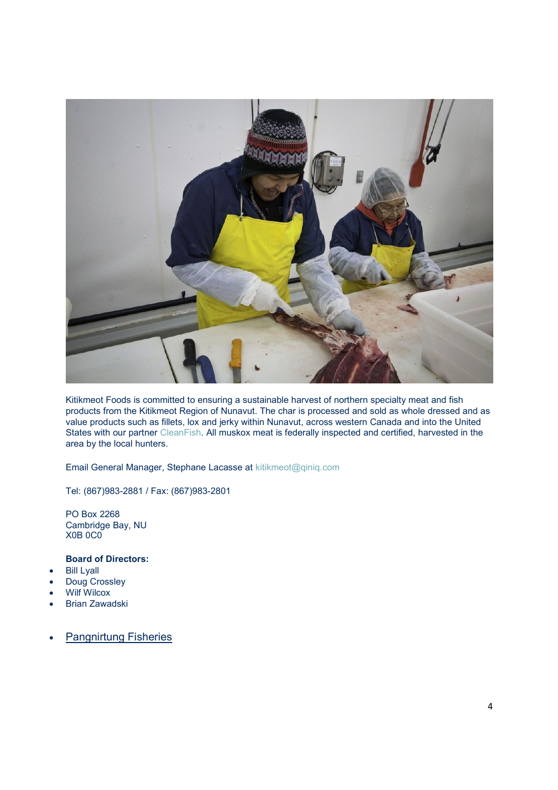

Kitikmeot Foods is committed to ensuring a sustainable harvest of northern specialty meat and fish products from the Kitikmeot Region of Nunavut. The char is processed and sold as whole dressed and as value products such as fillets, lox and jerky within Nunavut, across western Canada and into the United States with our partner CleanFish. All muskox meat is federally inspected and certified, harvested in the area by the local hunters.

Email General Manager, Stephane Lacasse at kitikmeot@qiniq.com

Tel: (867)983-2881 / Fax: (867)983-2801

PO Box 2268 Cambridge Bay, NU X0B 0C0

## **Board of Directors:**

- Bill Lyall
- Doug Crossley
- Wilf Wilcox
- Brian Zawadski
- Pangnirtung Fisheries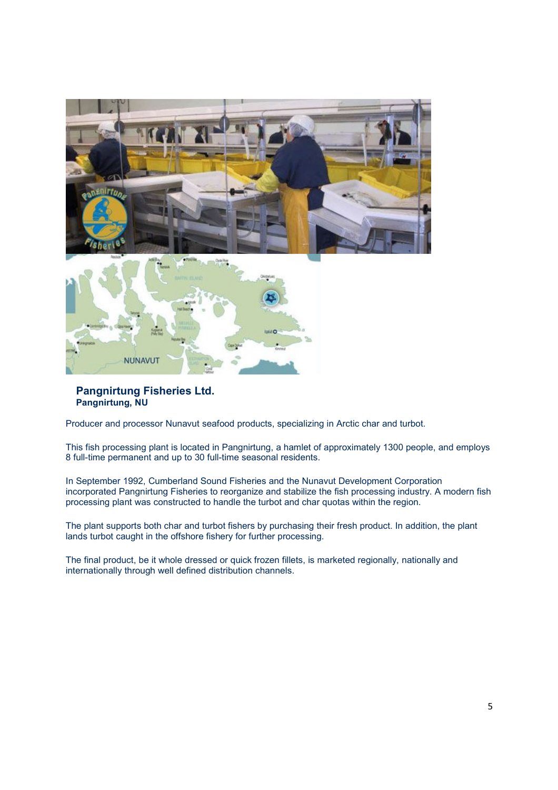

### **Pangnirtung Fisheries Ltd. Pangnirtung, NU**

Producer and processor Nunavut seafood products, specializing in Arctic char and turbot.

This fish processing plant is located in Pangnirtung, a hamlet of approximately 1300 people, and employs 8 full-time permanent and up to 30 full-time seasonal residents.

In September 1992, Cumberland Sound Fisheries and the Nunavut Development Corporation incorporated Pangnirtung Fisheries to reorganize and stabilize the fish processing industry. A modern fish processing plant was constructed to handle the turbot and char quotas within the region.

The plant supports both char and turbot fishers by purchasing their fresh product. In addition, the plant lands turbot caught in the offshore fishery for further processing.

The final product, be it whole dressed or quick frozen fillets, is marketed regionally, nationally and internationally through well defined distribution channels.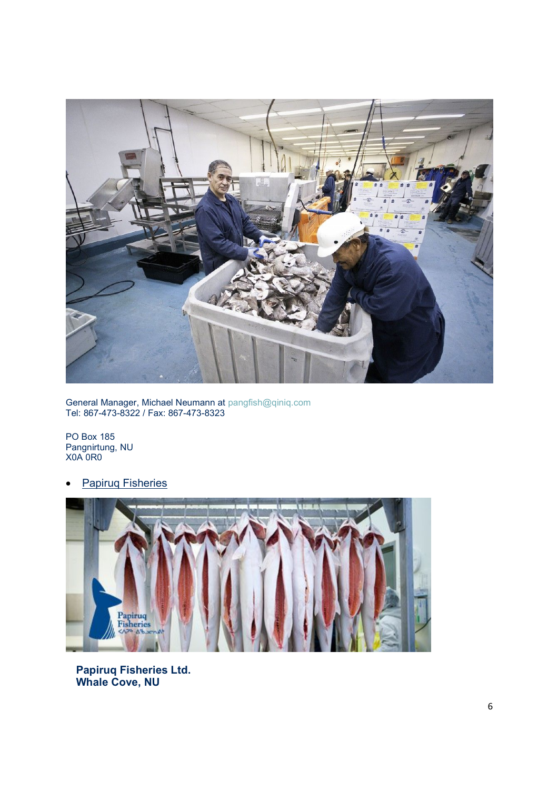

General Manager, Michael Neumann at pangfish@qiniq.com Tel: 867-473-8322 / Fax: 867-473-8323

PO Box 185 Pangnirtung, NU X0A 0R0

• Papiruq Fisheries



**Papiruq Fisheries Ltd. Whale Cove, NU**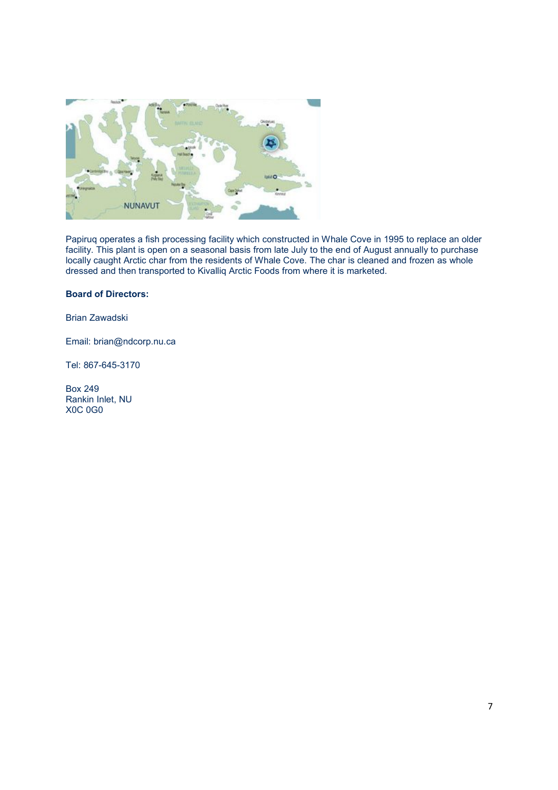

Papiruq operates a fish processing facility which constructed in Whale Cove in 1995 to replace an older facility. This plant is open on a seasonal basis from late July to the end of August annually to purchase locally caught Arctic char from the residents of Whale Cove. The char is cleaned and frozen as whole dressed and then transported to Kivalliq Arctic Foods from where it is marketed.

### **Board of Directors:**

Brian Zawadski

Email: brian@ndcorp.nu.ca

Tel: 867-645-3170

Box 249 Rankin Inlet, NU X0C 0G0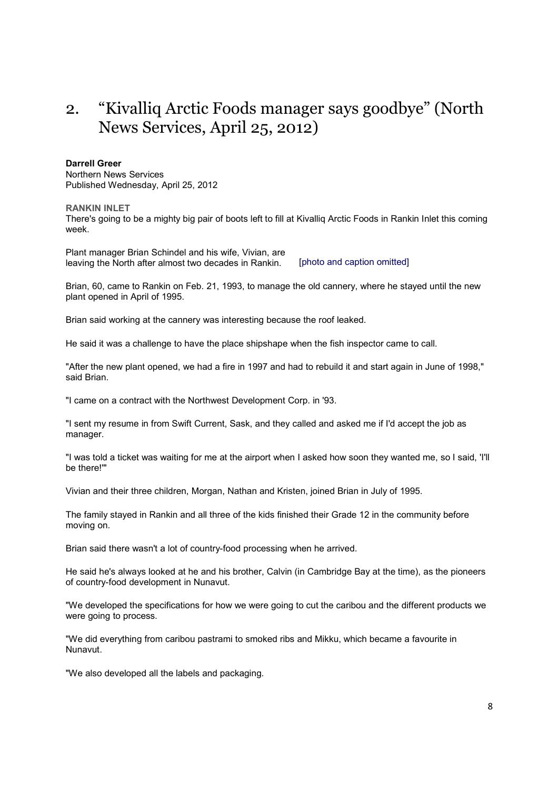# 2. "Kivalliq Arctic Foods manager says goodbye" (North News Services, April 25, 2012)

#### **Darrell Greer**

Northern News Services Published Wednesday, April 25, 2012

**RANKIN INLET**

There's going to be a mighty big pair of boots left to fill at Kivalliq Arctic Foods in Rankin Inlet this coming week.

Plant manager Brian Schindel and his wife, Vivian, are leaving the North after almost two decades in Rankin. [photo and caption omitted]

Brian, 60, came to Rankin on Feb. 21, 1993, to manage the old cannery, where he stayed until the new plant opened in April of 1995.

Brian said working at the cannery was interesting because the roof leaked.

He said it was a challenge to have the place shipshape when the fish inspector came to call.

"After the new plant opened, we had a fire in 1997 and had to rebuild it and start again in June of 1998," said Brian.

"I came on a contract with the Northwest Development Corp. in '93.

"I sent my resume in from Swift Current, Sask, and they called and asked me if I'd accept the job as manager.

"I was told a ticket was waiting for me at the airport when I asked how soon they wanted me, so I said, 'I'll be there!'"

Vivian and their three children, Morgan, Nathan and Kristen, joined Brian in July of 1995.

The family stayed in Rankin and all three of the kids finished their Grade 12 in the community before moving on.

Brian said there wasn't a lot of country-food processing when he arrived.

He said he's always looked at he and his brother, Calvin (in Cambridge Bay at the time), as the pioneers of country-food development in Nunavut.

"We developed the specifications for how we were going to cut the caribou and the different products we were going to process.

"We did everything from caribou pastrami to smoked ribs and Mikku, which became a favourite in Nunavut.

"We also developed all the labels and packaging.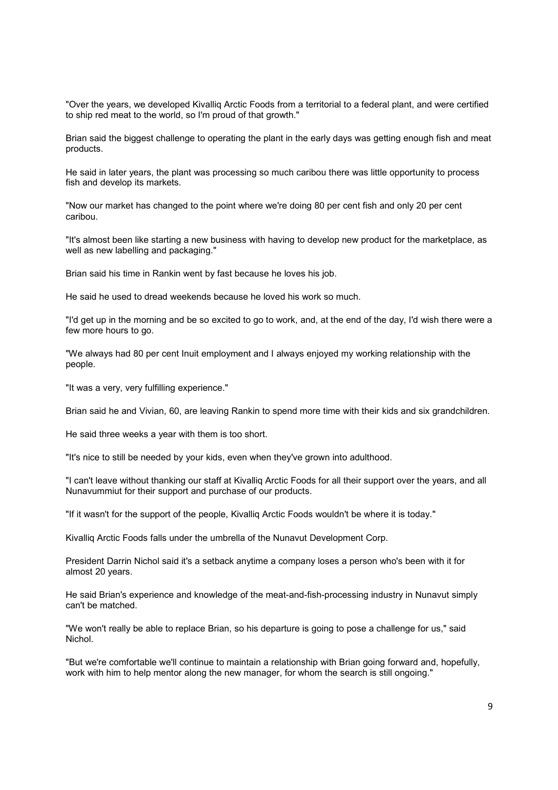"Over the years, we developed Kivalliq Arctic Foods from a territorial to a federal plant, and were certified to ship red meat to the world, so I'm proud of that growth."

Brian said the biggest challenge to operating the plant in the early days was getting enough fish and meat products.

He said in later years, the plant was processing so much caribou there was little opportunity to process fish and develop its markets.

"Now our market has changed to the point where we're doing 80 per cent fish and only 20 per cent caribou.

"It's almost been like starting a new business with having to develop new product for the marketplace, as well as new labelling and packaging."

Brian said his time in Rankin went by fast because he loves his job.

He said he used to dread weekends because he loved his work so much.

"I'd get up in the morning and be so excited to go to work, and, at the end of the day, I'd wish there were a few more hours to go.

"We always had 80 per cent Inuit employment and I always enjoyed my working relationship with the people.

"It was a very, very fulfilling experience."

Brian said he and Vivian, 60, are leaving Rankin to spend more time with their kids and six grandchildren.

He said three weeks a year with them is too short.

"It's nice to still be needed by your kids, even when they've grown into adulthood.

"I can't leave without thanking our staff at Kivalliq Arctic Foods for all their support over the years, and all Nunavummiut for their support and purchase of our products.

"If it wasn't for the support of the people, Kivalliq Arctic Foods wouldn't be where it is today."

Kivalliq Arctic Foods falls under the umbrella of the Nunavut Development Corp.

President Darrin Nichol said it's a setback anytime a company loses a person who's been with it for almost 20 years.

He said Brian's experience and knowledge of the meat-and-fish-processing industry in Nunavut simply can't be matched.

"We won't really be able to replace Brian, so his departure is going to pose a challenge for us," said Nichol.

"But we're comfortable we'll continue to maintain a relationship with Brian going forward and, hopefully, work with him to help mentor along the new manager, for whom the search is still ongoing."